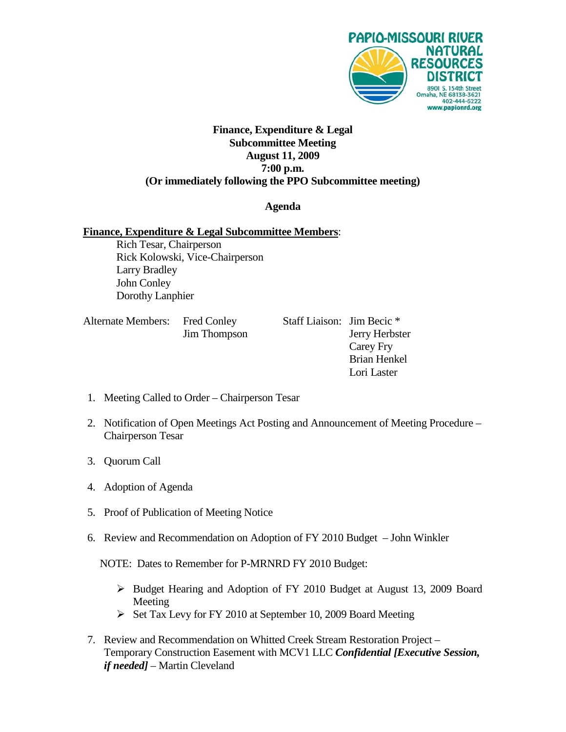

## **Finance, Expenditure & Legal Subcommittee Meeting August 11, 2009 7:00 p.m. (Or immediately following the PPO Subcommittee meeting)**

## **Agenda**

### **Finance, Expenditure & Legal Subcommittee Members**:

Rich Tesar, Chairperson Rick Kolowski, Vice-Chairperson Larry Bradley John Conley Dorothy Lanphier

| Alternate Members: Fred Conley |                     |
|--------------------------------|---------------------|
|                                | <b>Jim Thompson</b> |

Staff Liaison: Jim Becic \* n Jerry Herbster Carey Fry Brian Henkel Lori Laster

- 1. Meeting Called to Order Chairperson Tesar
- 2. Notification of Open Meetings Act Posting and Announcement of Meeting Procedure Chairperson Tesar
- 3. Quorum Call
- 4. Adoption of Agenda
- 5. Proof of Publication of Meeting Notice
- 6. Review and Recommendation on Adoption of FY 2010 Budget John Winkler

NOTE: Dates to Remember for P-MRNRD FY 2010 Budget:

- Budget Hearing and Adoption of FY 2010 Budget at August 13, 2009 Board Meeting
- $\triangleright$  Set Tax Levy for FY 2010 at September 10, 2009 Board Meeting
- 7. Review and Recommendation on Whitted Creek Stream Restoration Project Temporary Construction Easement with MCV1 LLC *Confidential [Executive Session, if needed]* – Martin Cleveland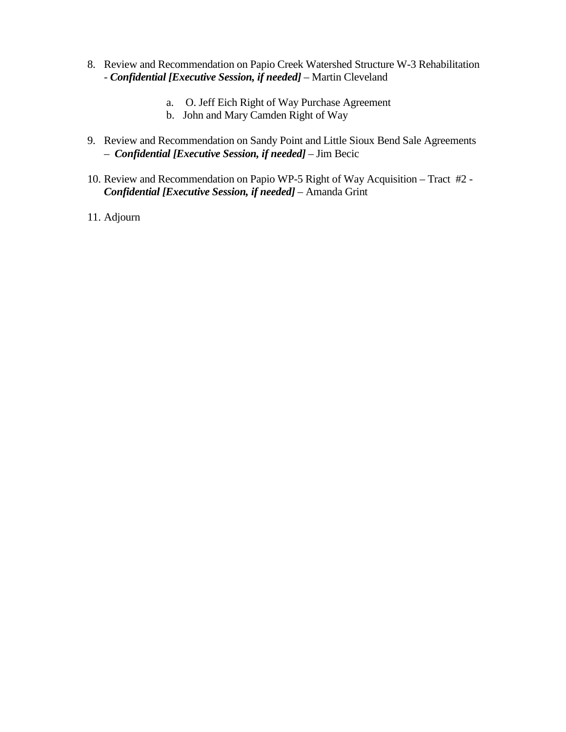- 8. Review and Recommendation on Papio Creek Watershed Structure W-3 Rehabilitation - *Confidential [Executive Session, if needed]* – Martin Cleveland
	- a. O. Jeff Eich Right of Way Purchase Agreement
	- b. John and Mary Camden Right of Way
- 9. Review and Recommendation on Sandy Point and Little Sioux Bend Sale Agreements – *Confidential [Executive Session, if needed]* – Jim Becic
- 10. Review and Recommendation on Papio WP-5 Right of Way Acquisition Tract #2 *Confidential [Executive Session, if needed]* – Amanda Grint
- 11. Adjourn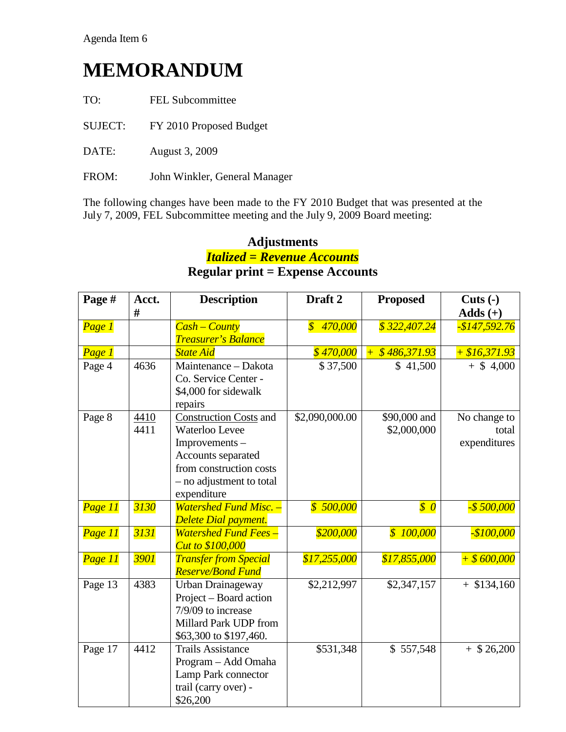# **MEMORANDUM**

| TO: | <b>FEL Subcommittee</b> |
|-----|-------------------------|
|     |                         |

- SUJECT: FY 2010 Proposed Budget
- DATE: August 3, 2009
- FROM: John Winkler, General Manager

The following changes have been made to the FY 2010 Budget that was presented at the July 7, 2009, FEL Subcommittee meeting and the July 9, 2009 Board meeting:

# **Adjustments** *Italized = Revenue Accounts* **Regular print = Expense Accounts**

| Page #  | Acct.        | <b>Description</b>                                                                                                                                           | Draft <sub>2</sub>                    | <b>Proposed</b>              | $Cuts(-)$                             |
|---------|--------------|--------------------------------------------------------------------------------------------------------------------------------------------------------------|---------------------------------------|------------------------------|---------------------------------------|
|         | #            |                                                                                                                                                              |                                       |                              | $Adds (+)$                            |
| Page 1  |              | <b>Cash – County</b><br>Treasurer's Balance                                                                                                                  | 470,000<br>$\boldsymbol{\mathcal{S}}$ | \$322,407.24                 | -\$147,592.76                         |
| Page 1  |              | <b>State Aid</b>                                                                                                                                             | \$470,000                             | \$486,371.93<br>$+$          | $+ $16,371.93$                        |
| Page 4  | 4636         | Maintenance - Dakota<br>Co. Service Center -<br>\$4,000 for sidewalk<br>repairs                                                                              | \$37,500                              | \$41,500                     | $+$ \$ 4,000                          |
| Page 8  | 4410<br>4411 | <b>Construction Costs</b> and<br>Waterloo Levee<br>Improvements-<br>Accounts separated<br>from construction costs<br>- no adjustment to total<br>expenditure | $\overline{$2,090,000.00}$            | \$90,000 and<br>\$2,000,000  | No change to<br>total<br>expenditures |
| Page 11 | 3130         | <b>Watershed Fund Misc. -</b><br><b>Delete Dial payment.</b>                                                                                                 | \$500,000                             | $\boldsymbol{\mathcal{S}}$ 0 | $-$ \$ 500,000                        |
| Page 11 | 3131         | <b>Watershed Fund Fees -</b><br><b>Cut to \$100,000</b>                                                                                                      | \$200,000                             | \$100,000                    | $-$100,000$                           |
| Page 11 | 3901         | <b>Transfer from Special</b><br><b>Reserve/Bond Fund</b>                                                                                                     | \$17,255,000                          | \$17,855,000                 | $+$ \$600,000                         |
| Page 13 | 4383         | Urban Drainageway<br>Project – Board action<br>7/9/09 to increase<br>Millard Park UDP from<br>\$63,300 to \$197,460.                                         | \$2,212,997                           | \$2,347,157                  | $+$ \$134,160                         |
| Page 17 | 4412         | <b>Trails Assistance</b><br>Program - Add Omaha<br>Lamp Park connector<br>trail (carry over) -<br>\$26,200                                                   | \$531,348                             | \$557,548                    | $+$ \$ 26,200                         |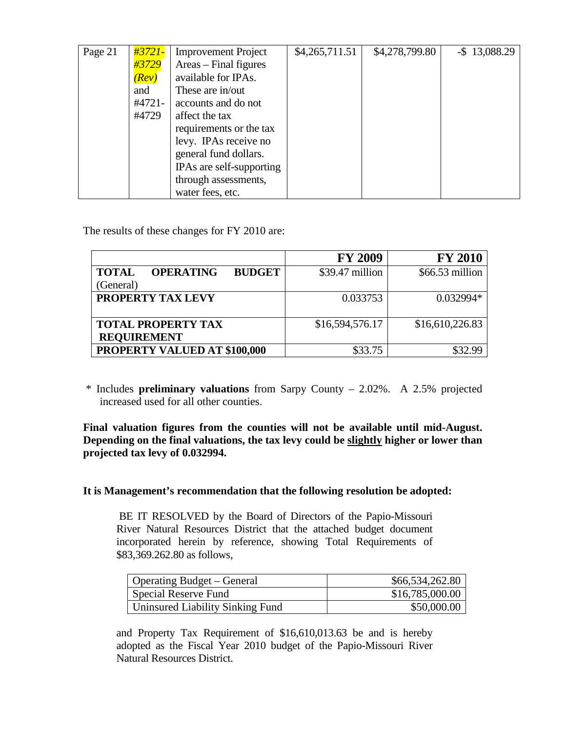| Page 21 | <u> #3721-</u> | <b>Improvement Project</b> | \$4,265,711.51 | \$4,278,799.80 | $-$ \$13,088.29 |
|---------|----------------|----------------------------|----------------|----------------|-----------------|
|         | #3729          | Areas – Final figures      |                |                |                 |
|         | (Rev)          | available for IPAs.        |                |                |                 |
|         | and            | These are in/out           |                |                |                 |
|         | #4721-         | accounts and do not        |                |                |                 |
|         | #4729          | affect the tax             |                |                |                 |
|         |                | requirements or the tax    |                |                |                 |
|         |                | levy. IPAs receive no      |                |                |                 |
|         |                | general fund dollars.      |                |                |                 |
|         |                | IPAs are self-supporting   |                |                |                 |
|         |                | through assessments,       |                |                |                 |
|         |                | water fees, etc.           |                |                |                 |

The results of these changes for FY 2010 are:

|                                                   | <b>FY 2009</b>  | <b>FY 2010</b>  |
|---------------------------------------------------|-----------------|-----------------|
| <b>TOTAL</b><br><b>OPERATING</b><br><b>BUDGET</b> | \$39.47 million | \$66.53 million |
| (General)                                         |                 |                 |
| <b>PROPERTY TAX LEVY</b>                          | 0.033753        | $0.032994*$     |
|                                                   |                 |                 |
| <b>TOTAL PROPERTY TAX</b>                         | \$16,594,576.17 | \$16,610,226.83 |
| <b>REQUIREMENT</b>                                |                 |                 |
| PROPERTY VALUED AT \$100,000                      | \$33.75         |                 |

\* Includes **preliminary valuations** from Sarpy County – 2.02%. A 2.5% projected increased used for all other counties.

**Final valuation figures from the counties will not be available until mid-August. Depending on the final valuations, the tax levy could be slightly higher or lower than projected tax levy of 0.032994.**

### **It is Management's recommendation that the following resolution be adopted:**

BE IT RESOLVED by the Board of Directors of the Papio-Missouri River Natural Resources District that the attached budget document incorporated herein by reference, showing Total Requirements of \$83,369.262.80 as follows,

| <b>Operating Budget – General</b> | \$66,534,262.80 |
|-----------------------------------|-----------------|
| Special Reserve Fund              | \$16,785,000.00 |
| Uninsured Liability Sinking Fund  | \$50,000.00     |

and Property Tax Requirement of \$16,610,013.63 be and is hereby adopted as the Fiscal Year 2010 budget of the Papio-Missouri River Natural Resources District.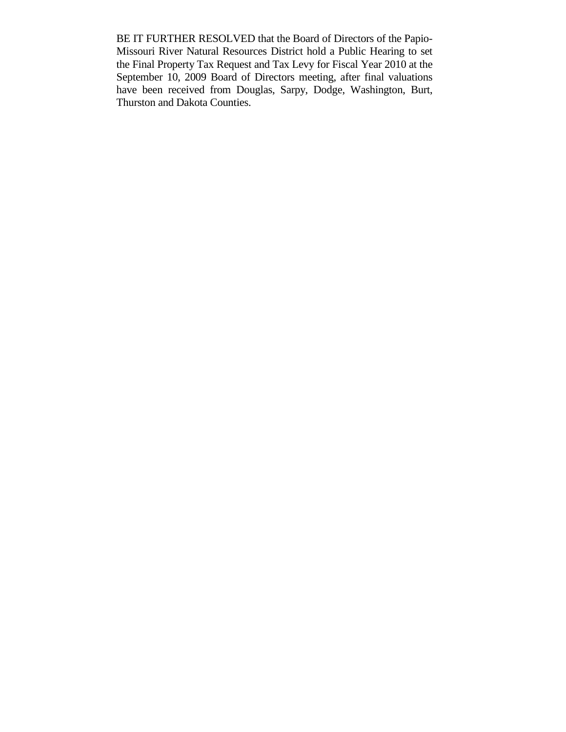BE IT FURTHER RESOLVED that the Board of Directors of the Papio-Missouri River Natural Resources District hold a Public Hearing to set the Final Property Tax Request and Tax Levy for Fiscal Year 2010 at the September 10, 2009 Board of Directors meeting, after final valuations have been received from Douglas, Sarpy, Dodge, Washington, Burt, Thurston and Dakota Counties.